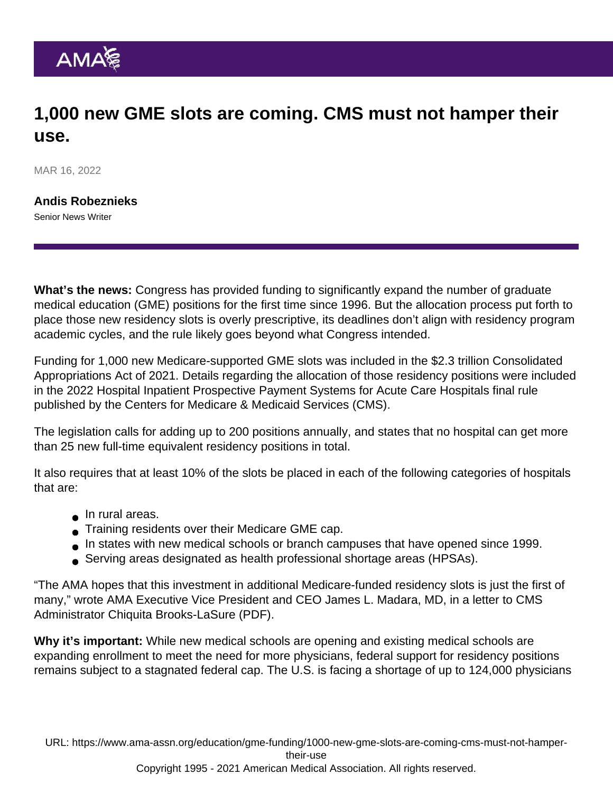## 1,000 new GME slots are coming. CMS must not hamper their use.

MAR 16, 2022

[Andis Robeznieks](https://www.ama-assn.org/news-leadership-viewpoints/authors-news-leadership-viewpoints/andis-robeznieks) Senior News Writer

What's the news: Congress has provided funding to significantly expand the number of graduate medical education (GME) positions for the first time since 1996. But the allocation process put forth to place those new residency slots is overly prescriptive, its deadlines don't align with residency program academic cycles, and the rule likely goes beyond what Congress intended.

Funding for 1,000 new Medicare-supported GME slots was included in the \$2.3 trillion Consolidated Appropriations Act of 2021. Details regarding the allocation of those residency positions were included in the 2022 Hospital Inpatient Prospective Payment Systems for Acute Care Hospitals [final rule](https://www.cms.gov/medicare/acute-inpatient-pps/fy-2022-ipps-final-rule-home-page) published by the Centers for Medicare & Medicaid Services (CMS).

The legislation calls for adding up to 200 positions annually, and states that no hospital can get more than 25 new full-time equivalent residency positions in total.

It also requires that at least 10% of the slots be placed in each of the following categories of hospitals that are:

- **In rural areas.**
- **Training residents over their Medicare GME cap.**
- In states with new medical schools or branch campuses that have opened since 1999.
- Serving areas designated as health professional shortage areas (HPSAs).

"The AMA hopes that this investment in additional Medicare-funded residency slots is just the first of many," wrote AMA Executive Vice President and CEO [James L. Madara, MD,](https://www.ama-assn.org/news-leadership-viewpoints/authors-news-leadership-viewpoints/james-l-madara-md) in a [letter to CMS](https://searchlf.ama-assn.org/letter/documentDownload?uri=/unstructured/binary/letter/LETTERS/2022-2-25-Letter-to-Brooks-LaSure-re-2022-IPPS-v2.pdf) [Administrator Chiquita Brooks-LaSure](https://searchlf.ama-assn.org/letter/documentDownload?uri=/unstructured/binary/letter/LETTERS/2022-2-25-Letter-to-Brooks-LaSure-re-2022-IPPS-v2.pdf) (PDF).

Why it's important: While new medical schools are opening and existing medical schools are expanding enrollment to meet the need for more physicians, federal support for residency positions remains subject to a stagnated federal cap. The U.S. is facing a shortage of up to 124,000 physicians

URL: [https://www.ama-assn.org/education/gme-funding/1000-new-gme-slots-are-coming-cms-must-not-hamper](https://www.ama-assn.org/education/gme-funding/1000-new-gme-slots-are-coming-cms-must-not-hamper-their-use)[their-use](https://www.ama-assn.org/education/gme-funding/1000-new-gme-slots-are-coming-cms-must-not-hamper-their-use) Copyright 1995 - 2021 American Medical Association. All rights reserved.